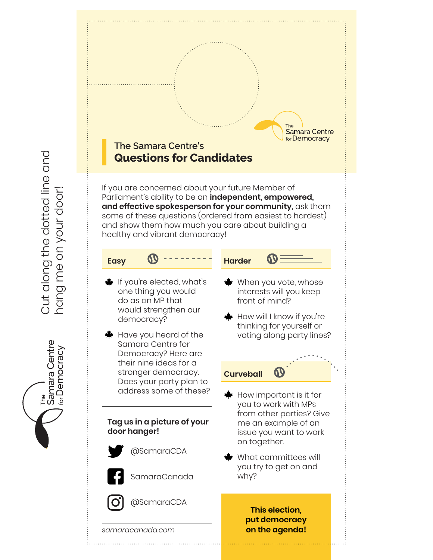